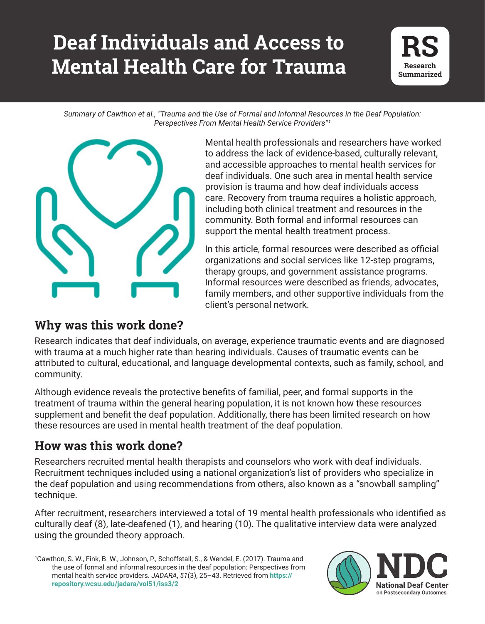# **Deaf Individuals and Access to Mental Health Care for Trauma**



*Summary of Cawthon et al., "Trauma and the Use of Formal and Informal Resources in the Deaf Population:*  **Perspectives From Mental Health Service Providers"**<sup>1</sup>



Mental health professionals and researchers have worked to address the lack of evidence-based, culturally relevant, and accessible approaches to mental health services for deaf individuals. One such area in mental health service provision is trauma and how deaf individuals access care. Recovery from trauma requires a holistic approach, including both clinical treatment and resources in the community. Both formal and informal resources can support the mental health treatment process.

In this article, formal resources were described as official organizations and social services like 12-step programs, therapy groups, and government assistance programs. Informal resources were described as friends, advocates, family members, and other supportive individuals from the client's personal network.

### **Why was this work done?**

Research indicates that deaf individuals, on average, experience traumatic events and are diagnosed with trauma at a much higher rate than hearing individuals. Causes of traumatic events can be attributed to cultural, educational, and language developmental contexts, such as family, school, and community.

Although evidence reveals the protective benefits of familial, peer, and formal supports in the treatment of trauma within the general hearing population, it is not known how these resources supplement and benefit the deaf population. Additionally, there has been limited research on how these resources are used in mental health treatment of the deaf population.

### **How was this work done?**

Researchers recruited mental health therapists and counselors who work with deaf individuals. Recruitment techniques included using a national organization's list of providers who specialize in the deaf population and using recommendations from others, also known as a "snowball sampling" technique.

After recruitment, researchers interviewed a total of 19 mental health professionals who identified as culturally deaf (8), late-deafened (1), and hearing (10). The qualitative interview data were analyzed using the grounded theory approach.

(2017). Trauma and<br>n: Perspectives from<br>red from **https**:// <sup>1</sup>Cawthon, S. W., Fink, B. W., Johnson, P., Schoffstall, S., & Wendel, E. (2017). Trauma and the use of formal and informal resources in the deaf population: Perspectives from mental health service providers. *JADARA*, *51*(3), 25–43. Retrieved from **https:// repository.wcsu.edu/jadara/vol51/iss3/2**